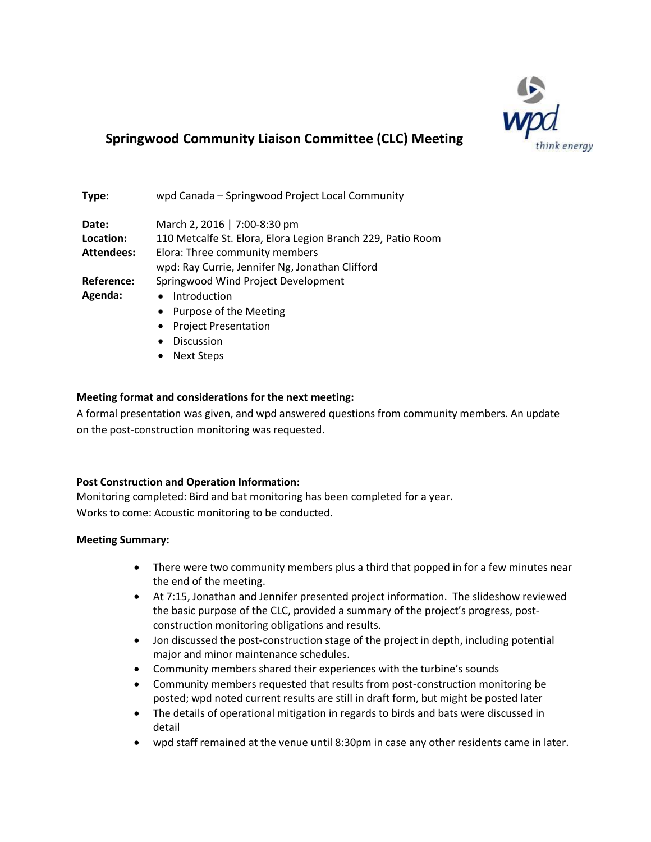

## **Springwood Community Liaison Committee (CLC) Meeting**

| Type:             | wpd Canada - Springwood Project Local Community             |
|-------------------|-------------------------------------------------------------|
| Date:             | March 2, 2016   7:00-8:30 pm                                |
| Location:         | 110 Metcalfe St. Elora, Elora Legion Branch 229, Patio Room |
| <b>Attendees:</b> | Elora: Three community members                              |
|                   | wpd: Ray Currie, Jennifer Ng, Jonathan Clifford             |
| Reference:        | Springwood Wind Project Development                         |
| Agenda:           | Introduction                                                |
|                   | Purpose of the Meeting                                      |

- Project Presentation
- Discussion
- Next Steps

### **Meeting format and considerations for the next meeting:**

A formal presentation was given, and wpd answered questions from community members. An update on the post-construction monitoring was requested.

#### **Post Construction and Operation Information:**

Monitoring completed: Bird and bat monitoring has been completed for a year. Works to come: Acoustic monitoring to be conducted.

#### **Meeting Summary:**

- There were two community members plus a third that popped in for a few minutes near the end of the meeting.
- At 7:15, Jonathan and Jennifer presented project information. The slideshow reviewed the basic purpose of the CLC, provided a summary of the project's progress, postconstruction monitoring obligations and results.
- Jon discussed the post-construction stage of the project in depth, including potential major and minor maintenance schedules.
- Community members shared their experiences with the turbine's sounds
- Community members requested that results from post-construction monitoring be posted; wpd noted current results are still in draft form, but might be posted later
- The details of operational mitigation in regards to birds and bats were discussed in detail
- wpd staff remained at the venue until 8:30pm in case any other residents came in later.